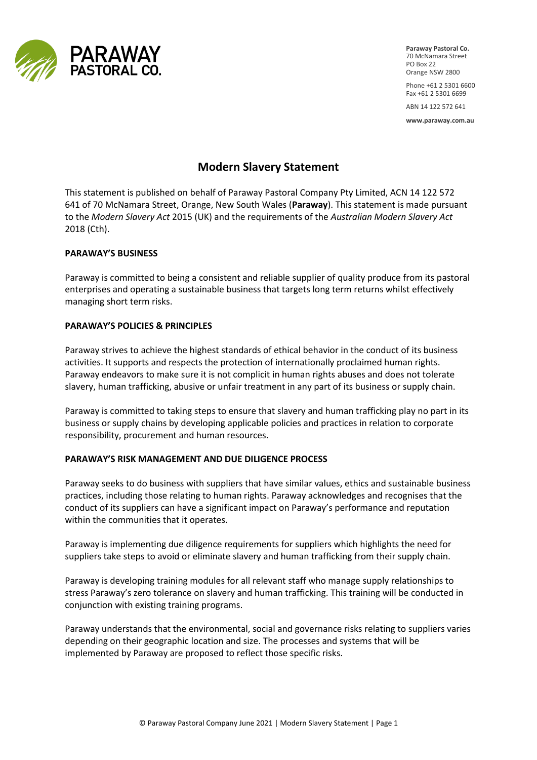

**Paraway Pastoral Co.** 70 McNamara Street PO Box 22 Orange NSW 2800

Phone +61 2 5301 6600 Fax +61 2 5301 6699

ABN 14 122 572 641

**www.paraway.com.au** 

# **Modern Slavery Statement**

This statement is published on behalf of Paraway Pastoral Company Pty Limited, ACN 14 122 572 641 of 70 McNamara Street, Orange, New South Wales (**Paraway**). This statement is made pursuant to the *Modern Slavery Act* 2015 (UK) and the requirements of the *Australian Modern Slavery Act* 2018 (Cth).

### **PARAWAY'S BUSINESS**

Paraway is committed to being a consistent and reliable supplier of quality produce from its pastoral enterprises and operating a sustainable business that targets long term returns whilst effectively managing short term risks.

### **PARAWAY'S POLICIES & PRINCIPLES**

Paraway strives to achieve the highest standards of ethical behavior in the conduct of its business activities. It supports and respects the protection of internationally proclaimed human rights. Paraway endeavors to make sure it is not complicit in human rights abuses and does not tolerate slavery, human trafficking, abusive or unfair treatment in any part of its business or supply chain.

Paraway is committed to taking steps to ensure that slavery and human trafficking play no part in its business or supply chains by developing applicable policies and practices in relation to corporate responsibility, procurement and human resources.

## **PARAWAY'S RISK MANAGEMENT AND DUE DILIGENCE PROCESS**

Paraway seeks to do business with suppliers that have similar values, ethics and sustainable business practices, including those relating to human rights. Paraway acknowledges and recognises that the conduct of its suppliers can have a significant impact on Paraway's performance and reputation within the communities that it operates.

Paraway is implementing due diligence requirements for suppliers which highlights the need for suppliers take steps to avoid or eliminate slavery and human trafficking from their supply chain.

Paraway is developing training modules for all relevant staff who manage supply relationships to stress Paraway's zero tolerance on slavery and human trafficking. This training will be conducted in conjunction with existing training programs.

Paraway understands that the environmental, social and governance risks relating to suppliers varies depending on their geographic location and size. The processes and systems that will be implemented by Paraway are proposed to reflect those specific risks.